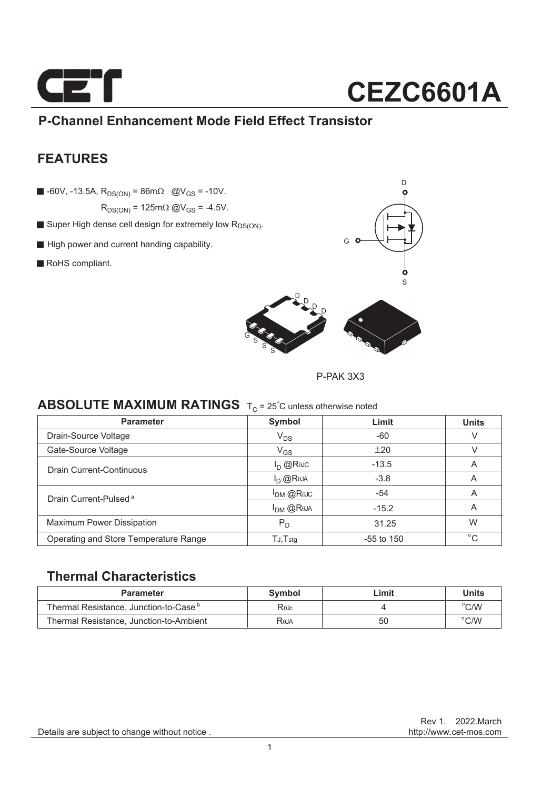

### **P-Channel Enhancement Mode Field Effect Transistor**

### **FEATURES**

 $\blacksquare$  -60V, -13.5A, R<sub>DS(ON)</sub> = 86m $\Omega$  @V<sub>GS</sub> = -10V.

 $R_{DS(ON)} = 125 \text{m}\Omega \text{ @V}_{GS} = -4.5 \text{V}.$ 

- Super High dense cell design for extremely low R<sub>DS(ON)</sub>.
- High power and current handing capability.
- RoHS compliant.



P-PAK 3X3

### **ABSOLUTE MAXIMUM RATINGS** T<sub>C</sub> = 25<sup>°</sup>C unless otherwise noted

| <b>Parameter</b>                      | Symbol         | Limit        | <b>Units</b> |
|---------------------------------------|----------------|--------------|--------------|
| Drain-Source Voltage                  | $V_{DS}$       | $-60$        | V            |
| Gate-Source Voltage                   | $\rm V_{GS}$   | ±20          |              |
| Drain Current-Continuous              | $I_D$ @Reuc    | $-13.5$      | A            |
|                                       | $I_D$ $@R0A$   | $-3.8$       | A            |
| Drain Current-Pulsed <sup>a</sup>     | $I_{DM}$ @Rejc | $-54$        | A            |
|                                       | $I_{DM}$ @Reja | $-15.2$      | A            |
| <b>Maximum Power Dissipation</b>      | $P_D$          | 31.25        | W            |
| Operating and Store Temperature Range | $TJ$ , $Tstq$  | $-55$ to 150 | $^{\circ}$ C |

### **Thermal Characteristics**

| <b>Parameter</b>                                  | Symbol | Limit | <b>Units</b>   |
|---------------------------------------------------|--------|-------|----------------|
| Thermal Resistance, Junction-to-Case <sup>b</sup> | Rajc   |       | $^{\circ}$ C/W |
| Thermal Resistance, Junction-to-Ambient           | Reja   | 50    | $^{\circ}$ C/W |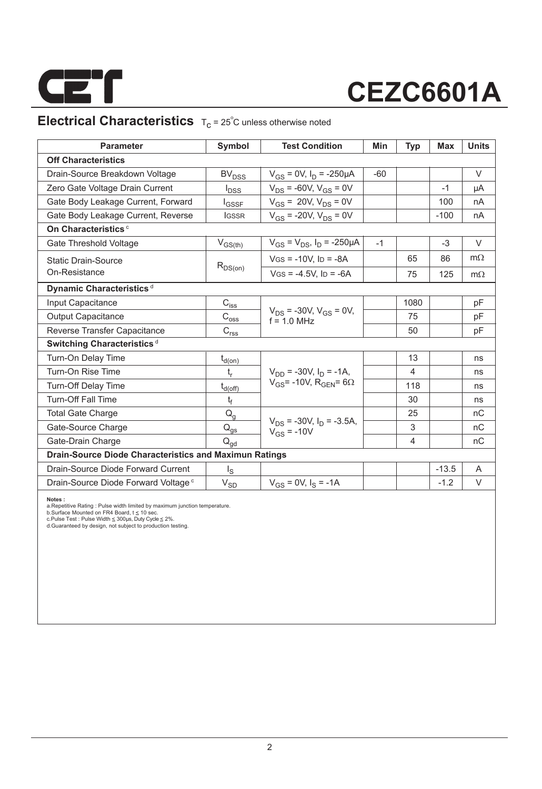

### **Electrical Characteristics**  $T_c = 25^\circ C$  unless otherwise noted

| <b>Parameter</b>                                              | Symbol                                          | <b>Test Condition</b>                              | Min   | <b>Typ</b>     | Max     | <b>Units</b> |
|---------------------------------------------------------------|-------------------------------------------------|----------------------------------------------------|-------|----------------|---------|--------------|
| <b>Off Characteristics</b>                                    |                                                 |                                                    |       |                |         |              |
| Drain-Source Breakdown Voltage                                | BV <sub>DSS</sub>                               | $V_{GS}$ = 0V, $I_D$ = -250µA                      | $-60$ |                |         | $\vee$       |
| Zero Gate Voltage Drain Current                               | $I_{\text{DSS}}$                                | $V_{DS}$ = -60V, $V_{GS}$ = 0V                     |       |                | $-1$    | μA           |
| Gate Body Leakage Current, Forward                            | <b>I</b> GSSF                                   | $V_{GS}$ = 20V, $V_{DS}$ = 0V                      |       |                | 100     | nA           |
| Gate Body Leakage Current, Reverse                            | <b>IGSSR</b>                                    | $V_{GS}$ = -20V, $V_{DS}$ = 0V                     |       |                | $-100$  | nA           |
| On Characteristics <sup>c</sup>                               |                                                 |                                                    |       |                |         |              |
| Gate Threshold Voltage                                        | $V_{GS(th)}$                                    | $V_{GS} = V_{DS}$ , $I_D = -250 \mu A$             | $-1$  |                | $-3$    | V            |
| <b>Static Drain-Source</b>                                    |                                                 | $VGS = -10V$ , $ID = -8A$                          |       | 65             | 86      | $m\Omega$    |
| On-Resistance                                                 | $R_{DS(on)}$                                    | $V$ GS = -4.5V, ID = -6A                           |       | 75             | 125     | $m\Omega$    |
| Dynamic Characteristics <sup>d</sup>                          |                                                 |                                                    |       |                |         |              |
| Input Capacitance                                             | $C_{i s s}$                                     |                                                    |       | 1080           |         | pF           |
| <b>Output Capacitance</b>                                     | $\mathrm{C_{os\underline{s}}}$                  | $V_{DS}$ = -30V, $V_{GS}$ = 0V,<br>$f = 10$ MHz    |       | 75             |         | pF           |
| Reverse Transfer Capacitance                                  | $C_{rs\underline{s}}$                           |                                                    |       | 50             |         | pF           |
| Switching Characteristics <sup>d</sup>                        |                                                 |                                                    |       |                |         |              |
| Turn-On Delay Time                                            | $t_{d(0n)}$                                     |                                                    |       | 13             |         | ns           |
| Turn-On Rise Time                                             | $t_r$                                           | $V_{DD}$ = -30V. $I_D$ = -1A.                      |       | 4              |         | ns           |
| <b>Turn-Off Delay Time</b>                                    | $t_{d(\text{off})}$                             | $V_{GS}$ = -10V, R <sub>GEN</sub> = 6 $\Omega$     |       | 118            |         | ns           |
| <b>Turn-Off Fall Time</b>                                     | t <sub>f</sub>                                  |                                                    |       | 30             |         | ns           |
| <b>Total Gate Charge</b>                                      | $Q_{q}$                                         |                                                    |       | 25             |         | nC           |
| Gate-Source Charge                                            | $\mathsf{Q}_{\underline{\mathsf{q}\mathsf{s}}}$ | $V_{DS}$ = -30V, $I_D$ = -3.5A,<br>$V_{GS} = -10V$ |       | 3              |         | nC           |
| Gate-Drain Charge                                             | $\mathsf{Q}_{\mathsf{gd}}$                      |                                                    |       | $\overline{4}$ |         | nC           |
| <b>Drain-Source Diode Characteristics and Maximun Ratings</b> |                                                 |                                                    |       |                |         |              |
| Drain-Source Diode Forward Current                            | l <sub>s</sub>                                  |                                                    |       |                | $-13.5$ | A            |
| Drain-Source Diode Forward Voltage <sup>c</sup>               | $V_{SD}$                                        | $V_{GS} = 0V$ , $I_S = -1A$                        |       |                | $-1.2$  | V            |

**Notes :**<br>a.Repetitive Rating : Pulse width limited by maximum junction temperature.<br>b.Surface Mounted on FR4 Board, t ≤ 10 sec.<br>c.Pulse Test : Pulse Width ≤ 300µs, Duty Cyde ≤ 2%.<br>d.Guaranteed by design, not subject to p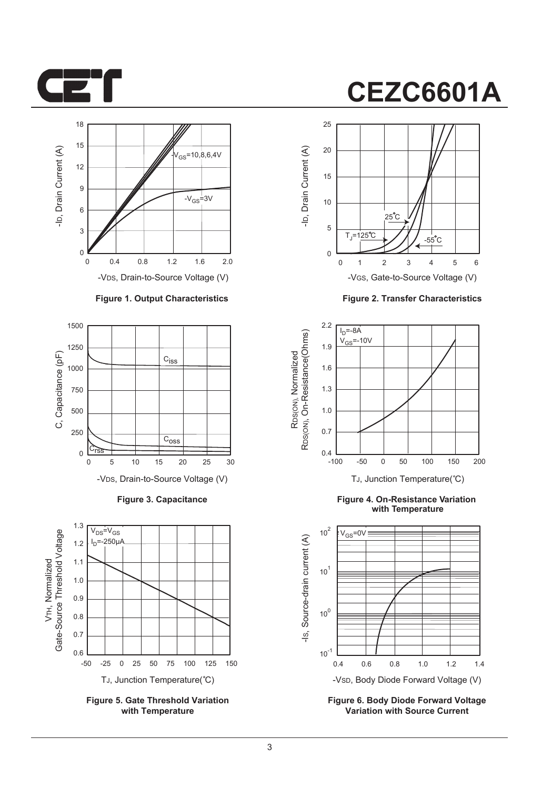



#### **Figure 1. Output Characteristics**



**Figure 3. Capacitance**



**Figure 5. Gate Threshold Variation with Temperature**



**Figure 2. Transfer Characteristics**



**Figure 4. On-Resistance Variation with Temperature**



**Figure 6. Body Diode Forward Voltage Variation with Source Current**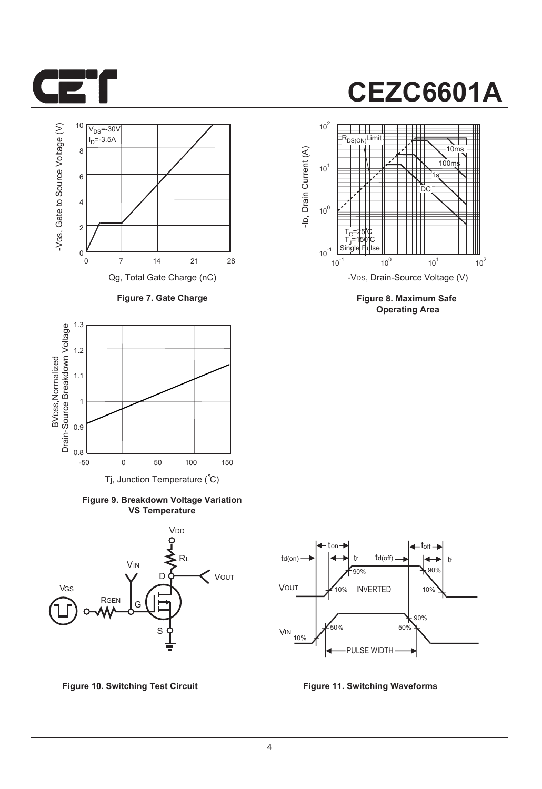



**Figure 7. Gate Charge**



**Figure 9. Breakdown Voltage Variation VS Temperature**



**Figure 10. Switching Test Circuit Figure 11. Switching Waveforms**



**Figure 8. Maximum Safe Operating Area**

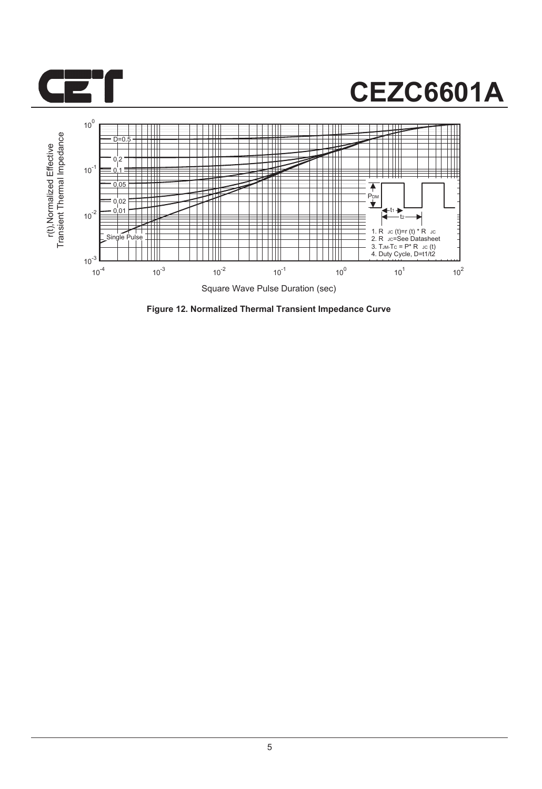



**Figure 12. Normalized Thermal Transient Impedance Curve**